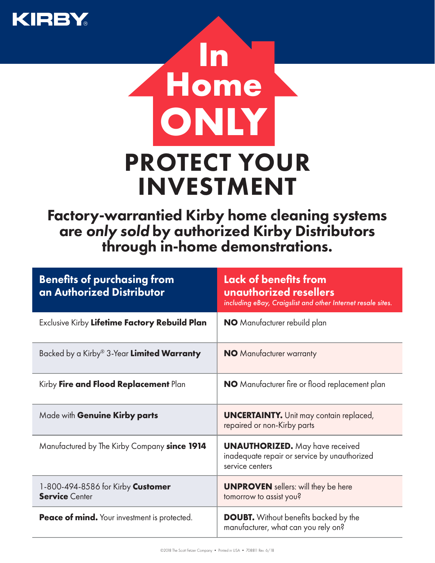



Factory-warrantied Kirby home cleaning systems are *only sold* by authorized Kirby Distributors through in-home demonstrations.

| <b>Benefits of purchasing from</b><br>an Authorized Distributor | Lack of benefits from<br>unauthorized resellers<br>including eBay, Craigslist and other Internet resale sites. |
|-----------------------------------------------------------------|----------------------------------------------------------------------------------------------------------------|
| Exclusive Kirby Lifetime Factory Rebuild Plan                   | <b>NO</b> Manufacturer rebuild plan                                                                            |
| Backed by a Kirby® 3-Year <b>Limited Warranty</b>               | <b>NO</b> Manufacturer warranty                                                                                |
| Kirby Fire and Flood Replacement Plan                           | NO Manufacturer fire or flood replacement plan                                                                 |
| Made with Genuine Kirby parts                                   | <b>UNCERTAINTY.</b> Unit may contain replaced,<br>repaired or non-Kirby parts                                  |
| Manufactured by The Kirby Company since 1914                    | <b>UNAUTHORIZED.</b> May have received<br>inadequate repair or service by unauthorized<br>service centers      |
| 1-800-494-8586 for Kirby Customer<br><b>Service Center</b>      | <b>UNPROVEN</b> sellers: will they be here<br>tomorrow to assist you?                                          |
| <b>Peace of mind.</b> Your investment is protected.             | <b>DOUBT.</b> Without benefits backed by the<br>manufacturer, what can you rely on?                            |